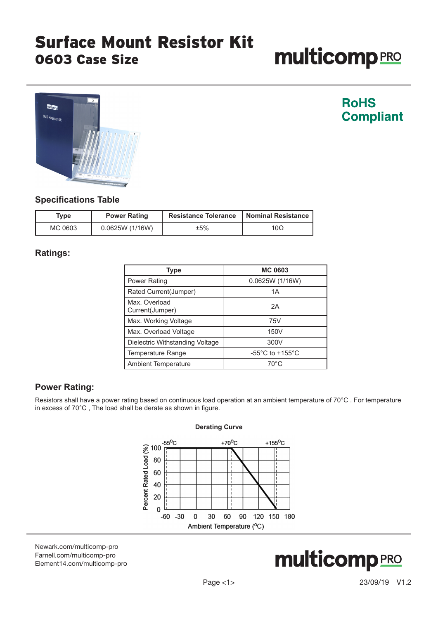# **multicomp**PRO



### **RoHS Compliant**

#### **Specifications Table**

| Tvpe    | <b>Power Rating</b> | <b>Resistance Tolerance</b> | <b>Nominal Resistance</b> |
|---------|---------------------|-----------------------------|---------------------------|
| MC 0603 | 0.0625W(1/16W)      | ±5%                         | 10Ω                       |

#### **Ratings:**

| Type                             | <b>MC 0603</b>                        |
|----------------------------------|---------------------------------------|
| <b>Power Rating</b>              | 0.0625W (1/16W)                       |
| Rated Current(Jumper)            | 1A                                    |
| Max. Overload<br>Current(Jumper) | 2A                                    |
| Max. Working Voltage             | 75V                                   |
| Max. Overload Voltage            | 150V                                  |
| Dielectric Withstanding Voltage  | 300V                                  |
| <b>Temperature Range</b>         | -55 $^{\circ}$ C to +155 $^{\circ}$ C |
| <b>Ambient Temperature</b>       | $70^{\circ}$ C                        |

#### **Power Rating:**

Resistors shall have a power rating based on continuous load operation at an ambient temperature of 70°C . For temperature in excess of 70°C , The load shall be derate as shown in figure.



[Newark.com/multicomp-](https://www.newark.com/multicomp-pro)pro [Farnell.com/multicomp](https://www.farnell.com/multicomp-pro)-pro [Element14.com/multicomp-pro](https://element14.com/multicomp-pro)

## **multicomp**PRO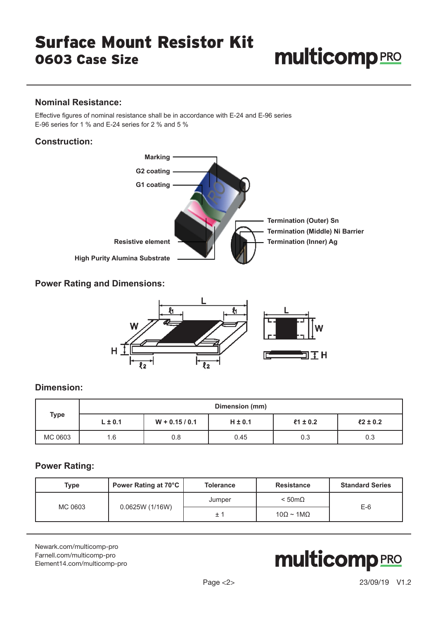# **multicomp**PRO

#### **Nominal Resistance:**

Effective figures of nominal resistance shall be in accordance with E-24 and E-96 series E-96 series for 1 % and E-24 series for 2 % and 5 %

#### **Construction:**



#### **Power Rating and Dimensions:**



#### **Dimension:**

|             |             | Dimension (mm)   |             |              |             |
|-------------|-------------|------------------|-------------|--------------|-------------|
| <b>Type</b> | $L \pm 0.1$ | $W + 0.15 / 0.1$ | $H \pm 0.1$ | $21 \pm 0.2$ | $2 \pm 0.2$ |
| MC 0603     | 1.6         | 0.8              | 0.45        | 0.3          | 0.3         |

#### **Power Rating:**

| <b>Type</b> | Power Rating at 70°C | <b>Tolerance</b> | <b>Resistance</b>                | <b>Standard Series</b> |
|-------------|----------------------|------------------|----------------------------------|------------------------|
| MC 0603     |                      | Jumper           | $< 50 \text{m}\Omega$            | $E-6$                  |
|             | 0.0625W (1/16W)      | $\pm$ $\degree$  | $10\Omega \sim 1 \text{M}\Omega$ |                        |

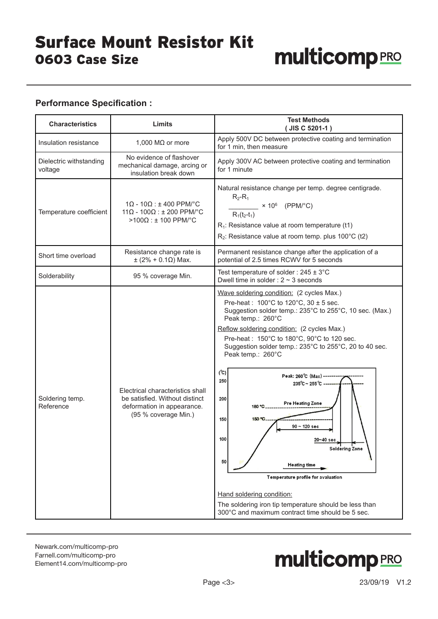#### **Performance Specification :**

| <b>Characteristics</b>             | Limits                                                                                                                   | <b>Test Methods</b><br>(JIS C 5201-1)                                                                                                                                                                                                                                                                                                                                                                                                                                                                                                                                                                                                                                                                                                                                                                              |
|------------------------------------|--------------------------------------------------------------------------------------------------------------------------|--------------------------------------------------------------------------------------------------------------------------------------------------------------------------------------------------------------------------------------------------------------------------------------------------------------------------------------------------------------------------------------------------------------------------------------------------------------------------------------------------------------------------------------------------------------------------------------------------------------------------------------------------------------------------------------------------------------------------------------------------------------------------------------------------------------------|
| Insulation resistance              | 1,000 M $\Omega$ or more                                                                                                 | Apply 500V DC between protective coating and termination<br>for 1 min, then measure                                                                                                                                                                                                                                                                                                                                                                                                                                                                                                                                                                                                                                                                                                                                |
| Dielectric withstanding<br>voltage | No evidence of flashover<br>mechanical damage, arcing or<br>insulation break down                                        | Apply 300V AC between protective coating and termination<br>for 1 minute                                                                                                                                                                                                                                                                                                                                                                                                                                                                                                                                                                                                                                                                                                                                           |
| Temperature coefficient            | $1\Omega - 10\Omega$ : ± 400 PPM/°C<br>$11\Omega - 100\Omega$ : ± 200 PPM/°C<br>$>100$ Ω : ± 100 PPM/°C                  | Natural resistance change per temp. degree centigrade.<br>$R_2 - R_1$<br>$\frac{\sqrt{2}}{2}$ × 10 <sup>6</sup> (PPM/°C)<br>$R_1(t_2-t_1)$<br>$R_1$ : Resistance value at room temperature (t1)<br>$R_2$ : Resistance value at room temp. plus 100°C (t2)                                                                                                                                                                                                                                                                                                                                                                                                                                                                                                                                                          |
| Short time overload                | Resistance change rate is<br>$±$ (2% + 0.1Ω) Max.                                                                        | Permanent resistance change after the application of a<br>potential of 2.5 times RCWV for 5 seconds                                                                                                                                                                                                                                                                                                                                                                                                                                                                                                                                                                                                                                                                                                                |
| Solderability                      | 95 % coverage Min.                                                                                                       | Test temperature of solder : $245 \pm 3^{\circ}$ C<br>Dwell time in solder : $2 \sim 3$ seconds                                                                                                                                                                                                                                                                                                                                                                                                                                                                                                                                                                                                                                                                                                                    |
| Soldering temp.<br>Reference       | Electrical characteristics shall<br>be satisfied. Without distinct<br>deformation in appearance.<br>(95 % coverage Min.) | Wave soldering condition: (2 cycles Max.)<br>Pre-heat: $100^{\circ}$ C to $120^{\circ}$ C, $30 \pm 5$ sec.<br>Suggestion solder temp.: 235°C to 255°C, 10 sec. (Max.)<br>Peak temp.: 260°C<br>Reflow soldering condition: (2 cycles Max.)<br>Pre-heat: 150°C to 180°C, 90°C to 120 sec.<br>Suggestion solder temp.: 235°C to 255°C, 20 to 40 sec.<br>Peak temp.: 260°C<br>$(^{\circ}\mathrm{C})$<br>Peak: 260°C (Max) ---------<br>250<br>$235^{\circ}$ C ~ $255^{\circ}$ C --<br>200<br><b>Pre Heating Zone</b><br>180 °C<br>150 °C.<br>150<br>$90 - 120$ sec<br>100<br>20~40 sec<br><b>Soldering Zone</b><br>50<br>Heating time<br>Temperature profile for avaluation<br>Hand soldering condition:<br>The soldering iron tip temperature should be less than<br>300°C and maximum contract time should be 5 sec. |

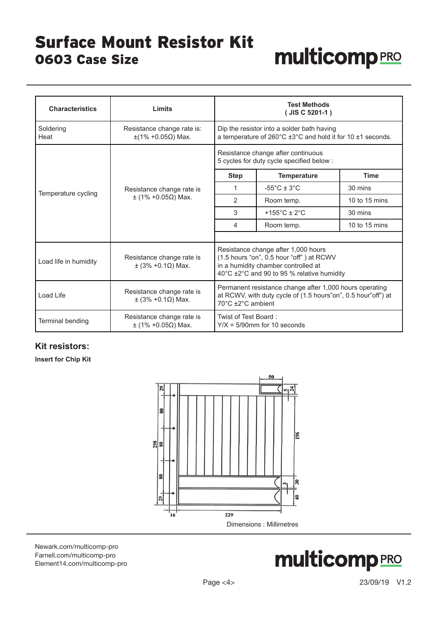## **multicomp**PRO

| <b>Characteristics</b> | Limits                                             |                                                                                                                                                                      | <b>Test Methods</b><br>(JIS C 5201-1)                                                                                         |               |
|------------------------|----------------------------------------------------|----------------------------------------------------------------------------------------------------------------------------------------------------------------------|-------------------------------------------------------------------------------------------------------------------------------|---------------|
| Soldering<br>Heat      | Resistance change rate is:<br>$±$ (1% +0.05Ω) Max. |                                                                                                                                                                      | Dip the resistor into a solder bath having<br>a temperature of $260^{\circ}$ C ±3 $^{\circ}$ C and hold it for 10 ±1 seconds. |               |
|                        |                                                    | Resistance change after continuous<br>5 cycles for duty cycle specified below :                                                                                      |                                                                                                                               |               |
|                        | Resistance change rate is<br>$±$ (1% +0.05Ω) Max.  | <b>Step</b>                                                                                                                                                          | <b>Temperature</b>                                                                                                            | <b>Time</b>   |
| Temperature cycling    |                                                    | 1                                                                                                                                                                    | $-55^{\circ}$ C ± 3 $^{\circ}$ C                                                                                              | 30 mins       |
|                        |                                                    | 2                                                                                                                                                                    | Room temp.                                                                                                                    | 10 to 15 mins |
|                        |                                                    | 3                                                                                                                                                                    | +155 $^{\circ}$ C ± 2 $^{\circ}$ C                                                                                            | 30 mins       |
|                        |                                                    | 4                                                                                                                                                                    | Room temp.                                                                                                                    | 10 to 15 mins |
| Load life in humidity  | Resistance change rate is<br>$±$ (3% +0.1Ω) Max.   | Resistance change after 1,000 hours<br>(1.5 hours "on", 0.5 hour "off") at RCWV<br>in a humidity chamber controlled at<br>40°C ±2°C and 90 to 95 % relative humidity |                                                                                                                               |               |
| Load Life              | Resistance change rate is<br>$±$ (3% +0.1Ω) Max.   | Permanent resistance change after 1,000 hours operating<br>at RCWV, with duty cycle of (1.5 hours"on", 0.5 hour"off") at<br>70°C ±2°C ambient                        |                                                                                                                               |               |
| Terminal bending       | Resistance change rate is<br>$±$ (1% +0.05Ω) Max.  | Twist of Test Board:<br>$Y/X = 5/90$ mm for 10 seconds                                                                                                               |                                                                                                                               |               |

#### **Kit resistors:**

**Insert for Chip Kit**